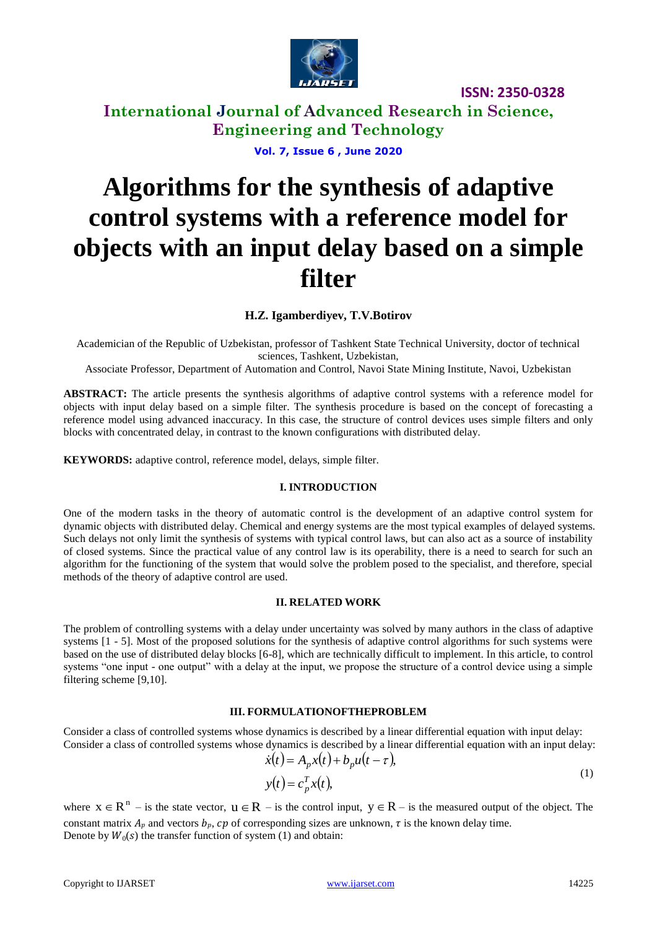

**International Journal of Advanced Research in Science, Engineering and Technology**

**Vol. 7, Issue 6 , June 2020**

# **Algorithms for the synthesis of adaptive control systems with a reference model for objects with an input delay based on a simple filter**

**H.Z. Igamberdiyev, T.V.Botirov**

Academician of the Republic of Uzbekistan, professor of Tashkent State Technical University, doctor of technical sciences, Tashkent, Uzbekistan,

Associate Professor, Department of Automation and Control, Navoi State Mining Institute, Navoi, Uzbekistan

**ABSTRACT:** The article presents the synthesis algorithms of adaptive control systems with a reference model for objects with input delay based on a simple filter. The synthesis procedure is based on the concept of forecasting a reference model using advanced inaccuracy. In this case, the structure of control devices uses simple filters and only blocks with concentrated delay, in contrast to the known configurations with distributed delay.

**KEYWORDS:** adaptive control, reference model, delays, simple filter.

#### **I. INTRODUCTION**

One of the modern tasks in the theory of automatic control is the development of an adaptive control system for dynamic objects with distributed delay. Chemical and energy systems are the most typical examples of delayed systems. Such delays not only limit the synthesis of systems with typical control laws, but can also act as a source of instability of closed systems. Since the practical value of any control law is its operability, there is a need to search for such an algorithm for the functioning of the system that would solve the problem posed to the specialist, and therefore, special methods of the theory of adaptive control are used.

### **II. RELATED WORK**

The problem of controlling systems with a delay under uncertainty was solved by many authors in the class of adaptive systems [1 - 5]. Most of the proposed solutions for the synthesis of adaptive control algorithms for such systems were based on the use of distributed delay blocks [6-8], which are technically difficult to implement. In this article, to control systems "one input - one output" with a delay at the input, we propose the structure of a control device using a simple filtering scheme [9,10].

#### **III. FORMULATIONOFTHEPROBLEM**

Consider a class of controlled systems whose dynamics is described by a linear differential equation with input delay: Consider a class of controlled systems whose dynamics is described by a linear differential equation with an input delay:

$$
\dot{x}(t) = A_p x(t) + b_p u(t - \tau),\tag{1}
$$

$$
y(t) = c_p^T x(t),
$$

where  $x \in R^n$  – is the state vector,  $u \in R$  – is the control input,  $y \in R$  – is the measured output of the object. The constant matrix  $A_p$  and vectors  $b_p$ ,  $cp$  of corresponding sizes are unknown,  $\tau$  is the known delay time. Denote by  $W_0(s)$  the transfer function of system (1) and obtain: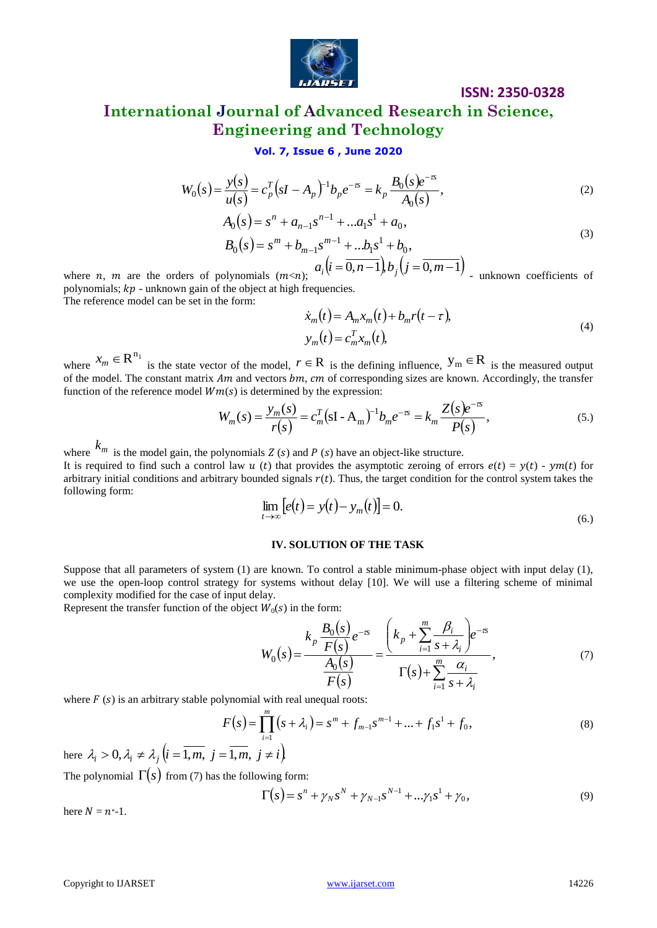

# **ISSN: 2350-0328 International Journal of Advanced Research in Science, Engineering and Technology**

### **Vol. 7, Issue 6 , June 2020**

$$
W_0(s) = \frac{y(s)}{u(s)} = c_p^T (sI - A_p)^{-1} b_p e^{-\tau s} = k_p \frac{B_0(s) e^{-\tau s}}{A_0(s)},
$$
\n(2)

$$
A_0(s) = s^n + a_{n-1}s^{n-1} + ...a_1s^1 + a_0,
$$
  
\n
$$
B_0(s) = s^m + b_{m-1}s^{m-1} + ...b_1s^1 + b_0,
$$
  
\n
$$
a.(i = 0, n-1) b.(i = 0, m-1)
$$
\n(3)

where *n*, *m* are the orders of polynomials (*m*<*n*);  $u_i(t - 0)$ ,  $a_i(i=0,n-1,b_j(j=0,m-1))$  *i* unknown coefficients of polynomials;  $kp$  - unknown gain of the object at high frequencies.

The reference model can be set in the form:

$$
\begin{aligned} \n\dot{x}_m(t) &= A_m x_m(t) + b_m r(t - \tau), \\ \ny_m(t) &= c_m^T x_m(t), \n\end{aligned} \tag{4}
$$

where  $x_m \in \mathbb{R}^{n_1}$  is the state vector of the model,  $r \in \mathbb{R}$  is the defining influence,  $y_m \in \mathbb{R}$  is the measured output of the model. The constant matrix  $Am$  and vectors  $bm$ ,  $cm$  of corresponding sizes are known. Accordingly, the transfer function of the reference model  $Wm(s)$  is determined by the expression:

$$
W_m(s) = \frac{y_m(s)}{r(s)} = c_m^T (sI - A_m)^{-1} b_m e^{-\pi} = k_m \frac{Z(s) e^{-\pi}}{P(s)},
$$
\n(5.

where  $k_m$  is the model gain, the polynomials Z (s) and P (s) have an object-like structure.

It is required to find such a control law u (t) that provides the asymptotic zeroing of errors  $e(t) = y(t) - ym(t)$  for arbitrary initial conditions and arbitrary bounded signals  $r(t)$ . Thus, the target condition for the control system takes the following form:

$$
\lim_{t \to \infty} [e(t) = y(t) - y_m(t)] = 0.
$$
\n(6.)

#### **IV. SOLUTION OF THE TASK**

Suppose that all parameters of system (1) are known. To control a stable minimum-phase object with input delay (1), we use the open-loop control strategy for systems without delay [10]. We will use a filtering scheme of minimal complexity modified for the case of input delay.

Represent the transfer function of the object  $W_0(s)$  in the form:

$$
W_0(s) = \frac{y_1(s)}{(s)} = c_f^r (sI - A_p)^{-1}b_p e^{-rs} = k_p \frac{\mu_0(s)}{A_0(s)},
$$
(2)  

$$
A_0(s) = s^n + a_{n-1}s^{n-1} + ...A_1s^1 + a_0,
$$
(3)  

$$
A_0(s) = s^m + b_{m-1}s^{m-1} + ...b_1s^1 + b_0,
$$
(3)  
where n, m are the orders of polynomials (nrcn);  $a_i (i = 0, n-1) b_j (j = 0, m-1)$  unknown coefficients of  
polynomials;  $kp$  - unknown gain of the object at high frequencies.  
The reference model can be set in the form:  

$$
x_m(t) = A_m x_m(t) + b_m r(t - \tau),
$$

$$
y_m(t) = c_m^T x_m(t)
$$
(1)  
where  $x_m \in \mathbb{R}^{n_1}$  is the state vector of the model,  $r \in \mathbb{R}$  is the defining influence,  $y_m \in \mathbb{R}$  is the measured output  
function of the reference model  $Wm(s)$  is determined by the expression,  $\frac{1}{r(s)}$   

$$
W_m(s) = \frac{y_m(s)}{r(s)} = c_m^T (sI - A_m)^{-1}b_m e^{-rs} = k_m \frac{Z(s)e^{-rs}}{P(s)},
$$
(5.)  
where  $k_m$  is the model gain, the polynomials  $Z(s)$  and  $P(s)$  have an object-like structure.  
It is required by the expression of corresponding sizes are known. Accordingly, the transfer function of the factor a control at  $z$  to  $f$  in  $z$  the  $z$ -symmetry  

$$
W_m(s) = \frac{y_m(s)}{r(s)} = c_m^T (sI - A_m)^{-1}b_m e^{-rs} = k_m \frac{Z(s)e^{-rs}}{P(s)},
$$
(5)  
where  $k_m$  is the model gain, the polynomials  $r(t)$ . Thus, the target condition for the control system takes the  
subring of  $z$  is an arbitrary bounded signals  $r(t)$ . Thus, the target condition for the control system takes the  
equilibrium function of the object  $W_0(s)$  in the form:  

$$
\lim_{t \to \infty} [e(t) = y(t) - y_m(t)] = 0.
$$
  
Suppose that all parameters of system (1) are known. To control a stable minimum

where  $F(s)$  is an arbitrary stable polynomial with real unequal roots:

$$
F(s) = \prod_{i=1}^{m} (s + \lambda_i) = s^m + f_{m-1} s^{m-1} + \dots + f_1 s^1 + f_0,
$$
\n
$$
F(s) = \overline{1 m} \quad i \neq j
$$
\n(8)

here  $\lambda_i > 0$ ,  $\lambda_i \neq \lambda_j$   $(i = 1, m, j = 1, m, j \neq i)$ 

The polynomial  $\Gamma(s)$  from (7) has the following form:

$$
\Gamma(s) = s^n + \gamma_N s^N + \gamma_{N-1} s^{N-1} + ... \gamma_1 s^1 + \gamma_0,
$$
\n(9)

here  $N = n^*$ -1.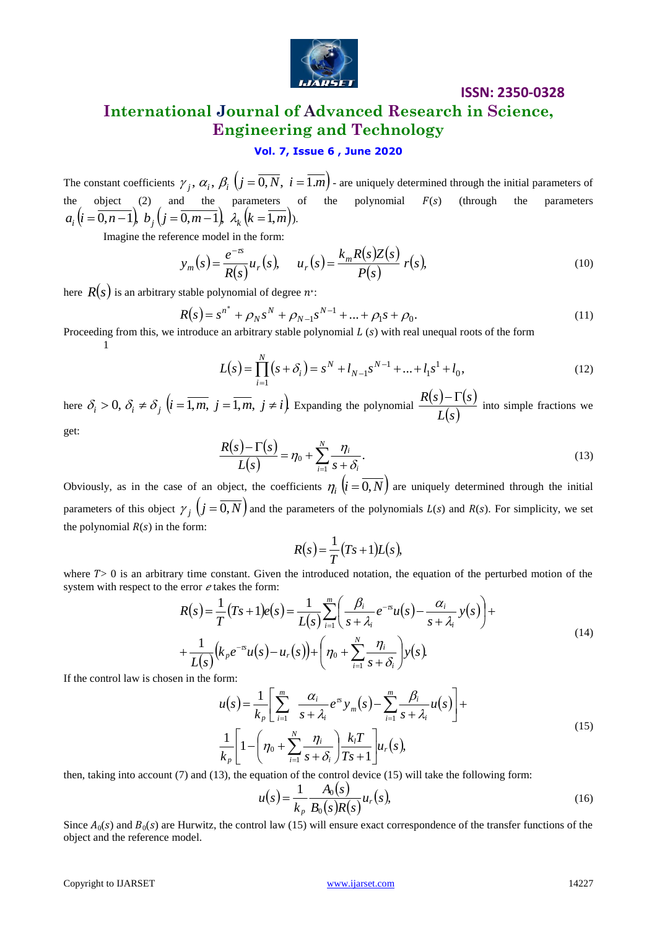

# **International Journal of Advanced Research in Science, Engineering and Technology**

### **Vol. 7, Issue 6 , June 2020**

The constant coefficients  $\gamma_j$ ,  $\alpha_i$ ,  $\beta_i$   $(j = 0, N, i = 1.m)$  - are uniquely determined through the initial parameters of the object (2) and the parameters of the polynomial  $F(s)$  (through the parameters  $a_i (i = 0, n - 1), b_j (j = 0, m - 1), \lambda_k (k = 1, m)$ .

Imagine the reference model in the form:

$$
y_m(s) = \frac{e^{-\tau s}}{R(s)} u_r(s), \qquad u_r(s) = \frac{k_m R(s)Z(s)}{P(s)} r(s), \tag{10}
$$

here  $R(s)$  is an arbitrary stable polynomial of degree  $n^*.$ 

$$
R(s) = s^{n^*} + \rho_N s^N + \rho_{N-1} s^{N-1} + \dots + \rho_1 s + \rho_0.
$$
\n(11)

Proceeding from this, we introduce an arbitrary stable polynomial  $L(s)$  with real unequal roots of the form 1

$$
L(s) = \prod_{i=1}^{N} (s + \delta_i) = s^N + l_{N-1} s^{N-1} + \dots + l_1 s^1 + l_0,
$$
\n(12)

here  $\delta_i > 0$ ,  $\delta_i \neq \delta_j$   $(i = \overline{1,m}, j = \overline{1,m}, j \neq i)$  Expanding the polynomial  $\frac{R(s) - \Gamma(s)}{I(s)}$ *Ls*  $rac{R(s)-\Gamma(s)}{s(s)}$  into simple fractions we

get:

$$
\frac{R(s) - \Gamma(s)}{L(s)} = \eta_0 + \sum_{i=1}^N \frac{\eta_i}{s + \delta_i}.
$$
\n(13)

Obviously, as in the case of an object, the coefficients  $\eta_i$   $(i = 0, N)$  are uniquely determined through the initial parameters of this object  $\gamma_j$   $(j = 0, N)$  and the parameters of the polynomials  $L(s)$  and  $R(s)$ . For simplicity, we set the polynomial  $R(s)$  in the form:

$$
R(s) = \frac{1}{T}(Ts+1)L(s),
$$

where  $T > 0$  is an arbitrary time constant. Given the introduced notation, the equation of the perturbed motion of the system with respect to the error  $e$  takes the form:

$$
R(s) = \frac{1}{T}(Ts+1)e(s) = \frac{1}{L(s)}\sum_{i=1}^{m}\left(\frac{\beta_i}{s+\lambda_i}e^{-sx}u(s) - \frac{\alpha_i}{s+\lambda_i}y(s)\right) + \frac{1}{L(s)}\left(k_\rho e^{-sx}u(s) - u_r(s)\right) + \left(\eta_0 + \sum_{i=1}^{N}\frac{\eta_i}{s+\delta_i}\right)y(s).
$$
\n(14)

If the control law is chosen in the form:

$$
u(s) = \frac{1}{k_p} \left[ \sum_{i=1}^{m} \frac{\alpha_i}{s + \lambda_i} e^{rs} y_m(s) - \sum_{i=1}^{m} \frac{\beta_i}{s + \lambda_i} u(s) \right] +
$$
  

$$
\frac{1}{k_p} \left[ 1 - \left( \eta_0 + \sum_{i=1}^{N} \frac{\eta_i}{s + \delta_i} \right) \frac{k_i T}{T s + 1} \right] u_r(s),
$$
 (15)

then, taking into account (7) and (13), the equation of the control device (15) will take the following form:

$$
u(s) = \frac{1}{k_p} \frac{A_0(s)}{B_0(s)R(s)} u_r(s),
$$
\n(16)

Since  $A_0(s)$  and  $B_0(s)$  are Hurwitz, the control law (15) will ensure exact correspondence of the transfer functions of the object and the reference model.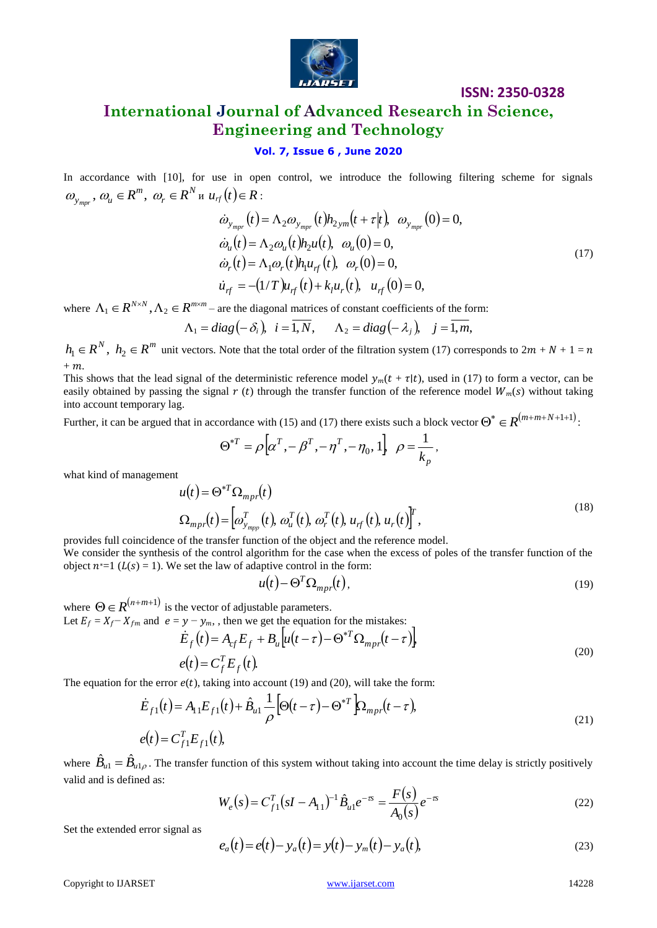

## **International Journal of Advanced Research in Science, Engineering and Technology**

#### **Vol. 7, Issue 6 , June 2020**

In accordance with [10], for use in open control, we introduce the following filtering scheme for signals *N r*  $\omega_{y_{mpr}}$ ,  $\omega_{u} \in R^{m}$ ,  $\omega_{r} \in R^{N}$  **u**  $u_{rf}(t) \in R$ :

$$
\dot{\omega}_{y_{mpr}}(t) = \Lambda_2 \omega_{y_{mpr}}(t) h_{2ym}(t + \tau |t), \ \omega_{y_{mpr}}(0) = 0,\n\dot{\omega}_u(t) = \Lambda_2 \omega_u(t) h_2 u(t), \ \omega_u(0) = 0,\n\dot{\omega}_r(t) = \Lambda_1 \omega_r(t) h_1 u_{rf}(t), \ \omega_r(0) = 0,\n\dot{u}_{rf} = -(1/T) u_{rf}(t) + k_l u_r(t), \ \ u_{rf}(0) = 0,
$$
\n(17)

where  $\Lambda_1 \in R^{N \times N}$ ,  $\Lambda_2 \in R^{m \times m}$  – are the diagonal matrices of constant coefficients of the form:

$$
\Lambda_1 = diag(-\delta_i), i = \overline{1, N}, \Lambda_2 = diag(-\lambda_j), j = \overline{1, m},
$$

 $h_1 \in R^N$ ,  $h_2 \in R^m$  unit vectors. Note that the total order of the filtration system (17) corresponds to  $2m + N + 1 =$  $+m$ .

This shows that the lead signal of the deterministic reference model  $y_m(t + \tau | t)$ , used in (17) to form a vector, can be easily obtained by passing the signal  $r(t)$  through the transfer function of the reference model  $W_m(s)$  without taking into account temporary lag.

Further, it can be argued that in accordance with (15) and (17) there exists such a block vector  $\Theta^* \in R^{(m+m+N+1+1)}$ :

$$
\Theta^{*T} = \rho \Big[ \alpha^T , -\beta^T , -\eta^T , -\eta_0 , 1 \Big] \ \ \rho = \frac{1}{k_p} ,
$$

what kind of management

$$
u(t) = \Theta^{*T} \Omega_{mpr}(t)
$$
  
\n
$$
\Omega_{mpr}(t) = \left[\omega_{y_{mpp}}^T(t), \omega_u^T(t), \omega_r^T(t), u_{rf}(t), u_r(t)\right]^T,
$$
\n(18)

provides full coincidence of the transfer function of the object and the reference model.

We consider the synthesis of the control algorithm for the case when the excess of poles of the transfer function of the object  $n^*=1$  ( $L(s) = 1$ ). We set the law of adaptive control in the form:

$$
u(t) - \Theta^T \Omega_{mp}(t), \qquad (19)
$$

where  $\Theta \in R^{(n+m+1)}$  is the vector of adjustable parameters.

Let 
$$
E_f = X_f - X_{fm}
$$
 and  $e = y - y_m$ , then we get the equation for the mistakes:  
\n
$$
\dot{E}_f(t) = A_{cf} E_f + B_u \left[ u(t - \tau) - \Theta^{*T} \Omega_{mpr}(t - \tau) \right]
$$
\n
$$
e(t) = C_f^T E_f(t).
$$
\n(20)

The equation for the error  $e(t)$ , taking into account (19) and (20), will take the form:

$$
\dot{E}_{f1}(t) = A_{11}E_{f1}(t) + \hat{B}_{u1}\frac{1}{\rho} \left[\Theta(t-\tau) - \Theta^{*T}\right] \Omega_{mpr}(t-\tau),
$$
\n
$$
e(t) = C_{f1}^{T}E_{f1}(t),
$$
\n(21)

where  $\hat{B}_{u} = \hat{B}_{u}$ , The transfer function of this system without taking into account the time delay is strictly positively valid and is defined as:

$$
W_e(s) = C_{f1}^T (sI - A_{11})^{-1} \hat{B}_{u1} e^{-\tau s} = \frac{F(s)}{A_0(s)} e^{-\tau s}
$$
 (22)

Set the extended error signal as

$$
e_a(t) = e(t) - y_a(t) = y(t) - y_m(t) - y_a(t),
$$
\n(23)

Copyright to IJARSET [www.ijarset.com](http://www.ijarset.com/) 14228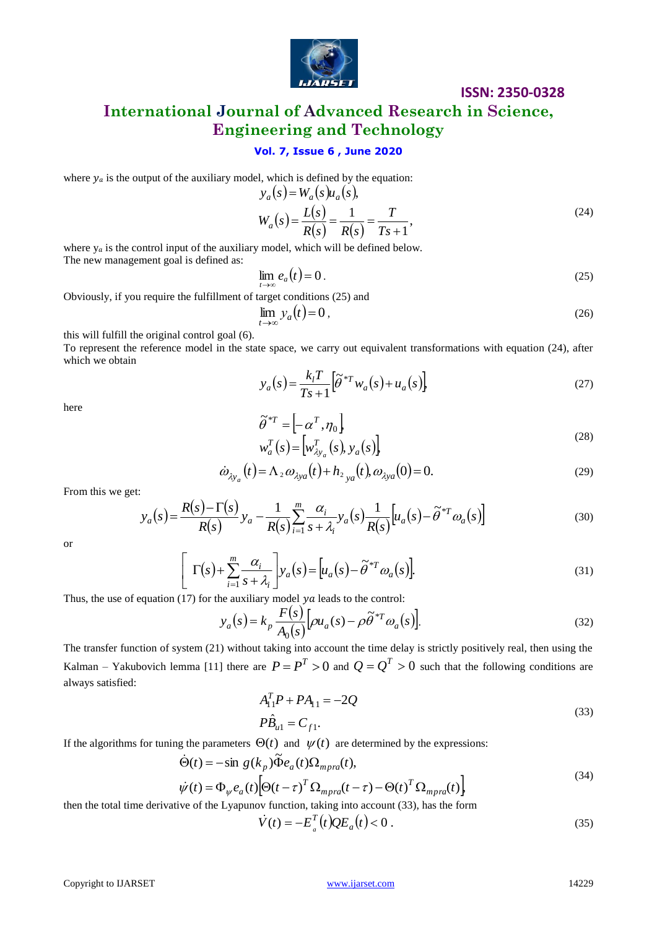

## **International Journal of Advanced Research in Science, Engineering and Technology**

### **Vol. 7, Issue 6 , June 2020**

where  $y_a$  is the output of the auxiliary model, which is defined by the equation:

$$
y_a(s) = W_a(s)u_a(s),
$$
  
\n
$$
W_a(s) = \frac{L(s)}{R(s)} = \frac{1}{R(s)} = \frac{T}{Ts + 1},
$$
\n(24)

where  $y_a$  is the control input of the auxiliary model, which will be defined below. The new management goal is defined as:

$$
\lim_{t \to \infty} e_a(t) = 0 \,. \tag{25}
$$

Obviously, if you require the fulfillment of target conditions (25) and

$$
\lim_{t \to \infty} y_a(t) = 0, \tag{26}
$$

this will fulfill the original control goal (6).

To represent the reference model in the state space, we carry out equivalent transformations with equation (24), after which we obtain

$$
y_a(s) = \frac{k_l T}{Ts + 1} \left[ \tilde{\theta}^{*T} w_a(s) + u_a(s) \right]
$$
 (27)

here

$$
\widetilde{\theta}^{*T} = \left[ -\alpha^T, \eta_0 \right] \n w_a^T(s) = \left[ w_{\lambda y_a}^T(s), y_a(s) \right]
$$
\n(28)

$$
\dot{\omega}_{\lambda y_a}(t) = \Lambda_2 \omega_{\lambda y_a}(t) + h_{2y_a}(t), \omega_{\lambda y_a}(0) = 0.
$$
\n(29)

From this we get:

$$
y_a(s) = \frac{R(s) - \Gamma(s)}{R(s)} y_a - \frac{1}{R(s)} \sum_{i=1}^m \frac{\alpha_i}{s + \lambda_i} y_a(s) \frac{1}{R(s)} \left[ u_a(s) - \tilde{\theta}^{*T} \omega_a(s) \right]
$$
(30)

or

$$
\left[\Gamma(s) + \sum_{i=1}^{m} \frac{\alpha_i}{s + \lambda_i}\right] y_a(s) = \left[u_a(s) - \tilde{\theta}^{*T} \omega_a(s)\right].
$$
\n(31)

Thus, the use of equation (17) for the auxiliary model  $ya$  leads to the control:

$$
y_a(s) = k_p \frac{F(s)}{A_0(s)} \left[ \rho u_a(s) - \rho \tilde{\theta}^{*T} \omega_a(s) \right].
$$
 (32)

The transfer function of system (21) without taking into account the time delay is strictly positively real, then using the Kalman – Yakubovich lemma [11] there are  $P = P^T > 0$  and  $Q = Q^T > 0$  such that the following conditions are always satisfied:

$$
A_{11}^T P + P A_{11} = -2Q
$$
  
\n
$$
P\hat{B}_{u1} = C_{f1}.
$$
\n(33)

If the algorithms for tuning the parameters 
$$
\Theta(t)
$$
 and  $\psi(t)$  are determined by the expressions:  
\n
$$
\dot{\Theta}(t) = -\sin g(k_p)\tilde{\Phi}e_a(t)\Omega_{mpra}(t),
$$
\n
$$
\dot{\psi}(t) = \Phi_{\psi}e_a(t)[\Theta(t-\tau)^T\Omega_{mpra}(t-\tau) - \Theta(t)^T\Omega_{mpra}(t)]
$$
\n(34)

then the total time derivative of the Lyapunov function, taking into account (33), has the form

$$
\dot{V}(t) = -E_a^T(t)QE_a(t) < 0 \tag{35}
$$

Copyright to IJARSET [www.ijarset.com](http://www.ijarset.com/) 14229